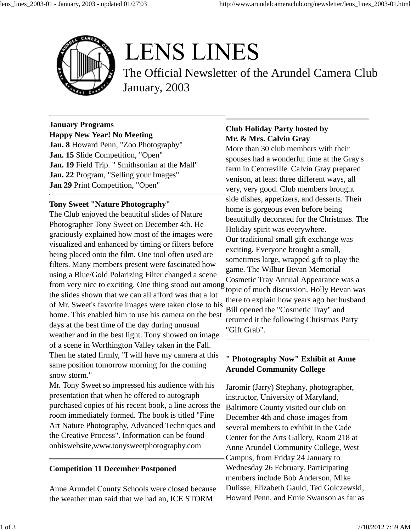

# **LENS LINES**

The Official Newsletter of the Arundel Camera Club January, 2003

#### **January Programs Happy New Year! No Meeting**

**Jan. 8** Howard Penn, "Zoo Photography" **Jan. 15** Slide Competition, "Open" **Jan. 19** Field Trip. " Smithsonian at the Mall" **Jan. 22** Program, "Selling your Images" **Jan 29** Print Competition, "Open"

### **Tony Sweet "Nature Photography"**

The Club enjoyed the beautiful slides of Nature Photographer Tony Sweet on December 4th. He graciously explained how most of the images were visualized and enhanced by timing or filters before being placed onto the film. One tool often used are filters. Many members present were fascinated how using a Blue/Gold Polarizing Filter changed a scene from very nice to exciting. One thing stood out among the slides shown that we can all afford was that a lot of Mr. Sweet's favorite images were taken close to his home. This enabled him to use his camera on the best days at the best time of the day during unusual weather and in the best light. Tony showed on image of a scene in Worthington Valley taken in the Fall. Then he stated firmly, "I will have my camera at this same position tomorrow morning for the coming snow storm."

Mr. Tony Sweet so impressed his audience with his presentation that when he offered to autograph purchased copies of his recent book, a line across the room immediately formed. The book is titled "Fine Art Nature Photography, Advanced Techniques and the Creative Process". Information can be found onhiswebsite,www.tonysweetphotography.com

### **Competition 11 December Postponed**

Anne Arundel County Schools were closed because the weather man said that we had an, ICE STORM

# **Club Holiday Party hosted by Mr. & Mrs. Calvin Gray**

More than 30 club members with their spouses had a wonderful time at the Gray's farm in Centreville. Calvin Gray prepared venison, at least three different ways, all very, very good. Club members brought side dishes, appetizers, and desserts. Their home is gorgeous even before being beautifully decorated for the Christmas. The Holiday spirit was everywhere. Our traditional small gift exchange was exciting. Everyone brought a small, sometimes large, wrapped gift to play the game. The Wilbur Bevan Memorial Cosmetic Tray Annual Appearance was a topic of much discussion. Holly Bevan was there to explain how years ago her husband Bill opened the "Cosmetic Tray" and returned it the following Christmas Party "Gift Grab".

# **" Photography Now" Exhibit at Anne Arundel Community College**

Jaromir (Jarry) Stephany, photographer, instructor, University of Maryland, Baltimore County visited our club on December 4th and chose images from several members to exhibit in the Cade Center for the Arts Gallery, Room 218 at Anne Arundel Community College, West Campus, from Friday 24 January to Wednesday 26 February. Participating members include Bob Anderson, Mike Dulisse, Elizabeth Gauld, Ted Golczewski, Howard Penn, and Ernie Swanson as far as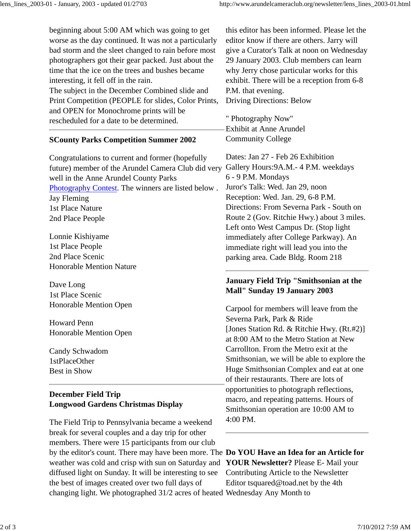beginning about 5:00 AM which was going to get worse as the day continued. It was not a particularly bad storm and the sleet changed to rain before most photographers got their gear packed. Just about the time that the ice on the trees and bushes became interesting, it fell off in the rain. The subject in the December Combined slide and Print Competition (PEOPLE for slides, Color Prints, and OPEN for Monochrome prints will be rescheduled for a date to be determined.

#### **SCounty Parks Competition Summer 2002**

Congratulations to current and former (hopefully future) member of the Arundel Camera Club did very Gallery Hours:9A.M.- 4 P.M. weekdays well in the Anne Arundel County Parks Photography Contest. The winners are listed below . Jay Fleming 1st Place Nature 2nd Place People

Lonnie Kishiyame 1st Place People 2nd Place Scenic Honorable Mention Nature

Dave Long 1st Place Scenic Honorable Mention Open

Howard Penn Honorable Mention Open

Candy Schwadom 1stPlaceOther Best in Show

# **December Field Trip Longwood Gardens Christmas Display**

The Field Trip to Pennsylvania became a weekend break for several couples and a day trip for other members. There were 15 participants from our club by the editor's count. There may have been more. The **Do YOU Have an Idea for an Article for** weather was cold and crisp with sun on Saturday and **YOUR Newsletter?** Please E- Mail your diffused light on Sunday. It will be interesting to see the best of images created over two full days of changing light. We photographed 31/2 acres of heated Wednesday Any Month to

this editor has been informed. Please let the editor know if there are others. Jarry will give a Curator's Talk at noon on Wednesday 29 January 2003. Club members can learn why Jerry chose particular works for this exhibit. There will be a reception from 6-8 P.M. that evening. Driving Directions: Below

" Photography Now" Exhibit at Anne Arundel Community College

Dates: Jan 27 - Feb 26 Exhibition 6 - 9 P.M. Mondays Juror's Talk: Wed. Jan 29, noon Reception: Wed. Jan. 29, 6-8 P.M. Directions: From Severna Park - South on Route 2 (Gov. Ritchie Hwy.) about 3 miles. Left onto West Campus Dr. (Stop light immediately after College Parkway). An immediate right will lead you into the parking area. Cade Bldg. Room 218

### **January Field Trip "Smithsonian at the Mall" Sunday 19 January 2003**

Carpool for members will leave from the Severna Park, Park & Ride [Jones Station Rd. & Ritchie Hwy. (Rt.#2)] at 8:00 AM to the Metro Station at New Carrollton. From the Metro exit at the Smithsonian, we will be able to explore the Huge Smithsonian Complex and eat at one of their restaurants. There are lots of opportunities to photograph reflections, macro, and repeating patterns. Hours of Smithsonian operation are 10:00 AM to 4:00 PM.

Contributing Article to the Newsletter Editor tsquared@toad.net by the 4th